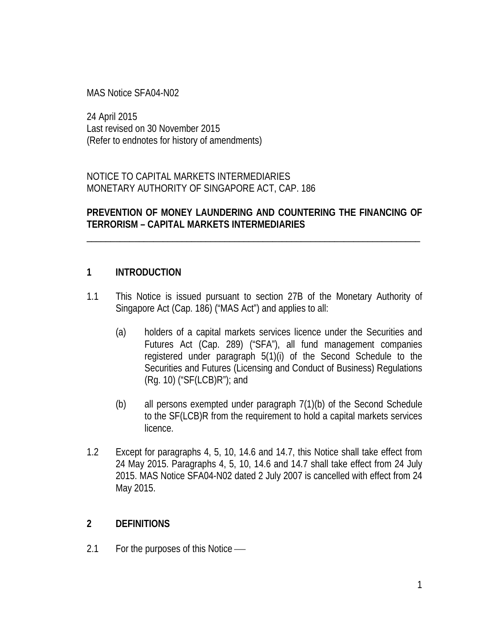MAS Notice SFA04-N02

24 April 2015 Last revised on 30 November 2015 (Refer to endnotes for history of amendments)

NOTICE TO CAPITAL MARKETS INTERMEDIARIES MONETARY AUTHORITY OF SINGAPORE ACT, CAP. 186

## **PREVENTION OF MONEY LAUNDERING AND COUNTERING THE FINANCING OF TERRORISM – CAPITAL MARKETS INTERMEDIARIES**

\_\_\_\_\_\_\_\_\_\_\_\_\_\_\_\_\_\_\_\_\_\_\_\_\_\_\_\_\_\_\_\_\_\_\_\_\_\_\_\_\_\_\_\_\_\_\_\_\_\_\_\_\_\_\_\_\_\_\_\_\_\_\_\_\_\_\_\_\_\_

## **1 INTRODUCTION**

- 1.1 This Notice is issued pursuant to section 27B of the Monetary Authority of Singapore Act (Cap. 186) ("MAS Act") and applies to all:
	- (a) holders of a capital markets services licence under the Securities and Futures Act (Cap. 289) ("SFA"), all fund management companies registered under paragraph 5(1)(i) of the Second Schedule to the Securities and Futures (Licensing and Conduct of Business) Regulations (Rg. 10) ("SF(LCB)R"); and
	- (b) all persons exempted under paragraph 7(1)(b) of the Second Schedule to the SF(LCB)R from the requirement to hold a capital markets services licence.
- 1.2 Except for paragraphs 4, 5, 10, 14.6 and 14.7, this Notice shall take effect from 24 May 2015. Paragraphs 4, 5, 10, 14.6 and 14.7 shall take effect from 24 July 2015. MAS Notice SFA04-N02 dated 2 July 2007 is cancelled with effect from 24 May 2015.

## **2 DEFINITIONS**

2.1 For the purposes of this Notice —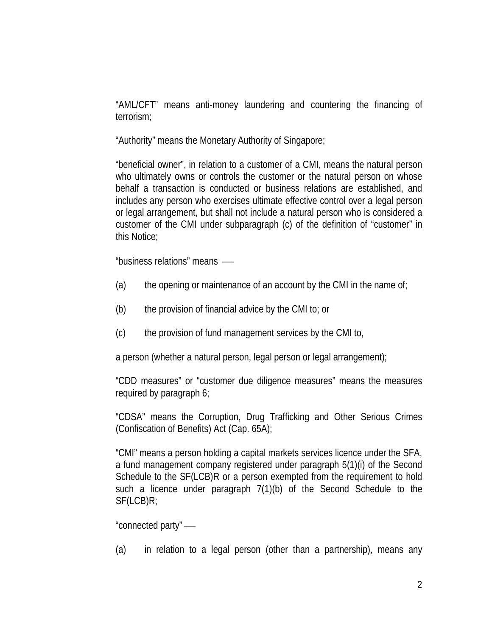"AML/CFT" means anti-money laundering and countering the financing of terrorism;

"Authority" means the Monetary Authority of Singapore;

"beneficial owner", in relation to a customer of a CMI, means the natural person who ultimately owns or controls the customer or the natural person on whose behalf a transaction is conducted or business relations are established, and includes any person who exercises ultimate effective control over a legal person or legal arrangement, but shall not include a natural person who is considered a customer of the CMI under subparagraph (c) of the definition of "customer" in this Notice;

"business relations" means

- (a) the opening or maintenance of an account by the CMI in the name of;
- (b) the provision of financial advice by the CMI to; or
- (c) the provision of fund management services by the CMI to,

a person (whether a natural person, legal person or legal arrangement);

"CDD measures" or "customer due diligence measures" means the measures required by paragraph 6;

"CDSA" means the Corruption, Drug Trafficking and Other Serious Crimes (Confiscation of Benefits) Act (Cap. 65A);

"CMI" means a person holding a capital markets services licence under the SFA, a fund management company registered under paragraph 5(1)(i) of the Second Schedule to the SF(LCB)R or a person exempted from the requirement to hold such a licence under paragraph 7(1)(b) of the Second Schedule to the SF(LCB)R;

"connected party"

(a) in relation to a legal person (other than a partnership), means any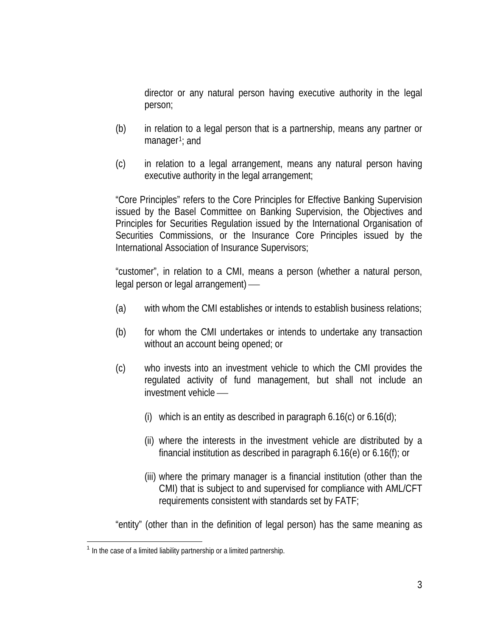director or any natural person having executive authority in the legal person;

- (b) in relation to a legal person that is a partnership, means any partner or manager $1$ ; and
- (c) in relation to a legal arrangement, means any natural person having executive authority in the legal arrangement;

"Core Principles" refers to the Core Principles for Effective Banking Supervision issued by the Basel Committee on Banking Supervision, the Objectives and Principles for Securities Regulation issued by the International Organisation of Securities Commissions, or the Insurance Core Principles issued by the International Association of Insurance Supervisors;

"customer", in relation to a CMI, means a person (whether a natural person, legal person or legal arrangement)

- (a) with whom the CMI establishes or intends to establish business relations;
- (b) for whom the CMI undertakes or intends to undertake any transaction without an account being opened; or
- (c) who invests into an investment vehicle to which the CMI provides the regulated activity of fund management, but shall not include an investment vehicle
	- (i) which is an entity as described in paragraph  $6.16(c)$  or  $6.16(d)$ ;
	- (ii) where the interests in the investment vehicle are distributed by a financial institution as described in paragraph 6.16(e) or 6.16(f); or
	- (iii) where the primary manager is a financial institution (other than the CMI) that is subject to and supervised for compliance with AML/CFT requirements consistent with standards set by FATF;

"entity" (other than in the definition of legal person) has the same meaning as

<span id="page-2-0"></span> $1$  In the case of a limited liability partnership or a limited partnership.  $\overline{\phantom{a}}$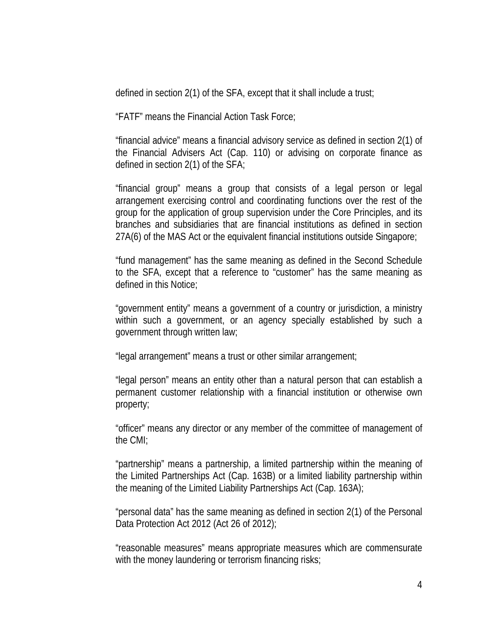defined in section 2(1) of the SFA, except that it shall include a trust;

"FATF" means the Financial Action Task Force;

"financial advice" means a financial advisory service as defined in section 2(1) of the Financial Advisers Act (Cap. 110) or advising on corporate finance as defined in section 2(1) of the SFA;

"financial group" means a group that consists of a legal person or legal arrangement exercising control and coordinating functions over the rest of the group for the application of group supervision under the Core Principles, and its branches and subsidiaries that are financial institutions as defined in section 27A(6) of the MAS Act or the equivalent financial institutions outside Singapore;

"fund management" has the same meaning as defined in the Second Schedule to the SFA, except that a reference to "customer" has the same meaning as defined in this Notice;

"government entity" means a government of a country or jurisdiction, a ministry within such a government, or an agency specially established by such a government through written law;

"legal arrangement" means a trust or other similar arrangement;

"legal person" means an entity other than a natural person that can establish a permanent customer relationship with a financial institution or otherwise own property;

"officer" means any director or any member of the committee of management of the CMI;

"partnership" means a partnership, a limited partnership within the meaning of the Limited Partnerships Act (Cap. 163B) or a limited liability partnership within the meaning of the Limited Liability Partnerships Act (Cap. 163A);

"personal data" has the same meaning as defined in section 2(1) of the Personal Data Protection Act 2012 (Act 26 of 2012);

"reasonable measures" means appropriate measures which are commensurate with the money laundering or terrorism financing risks;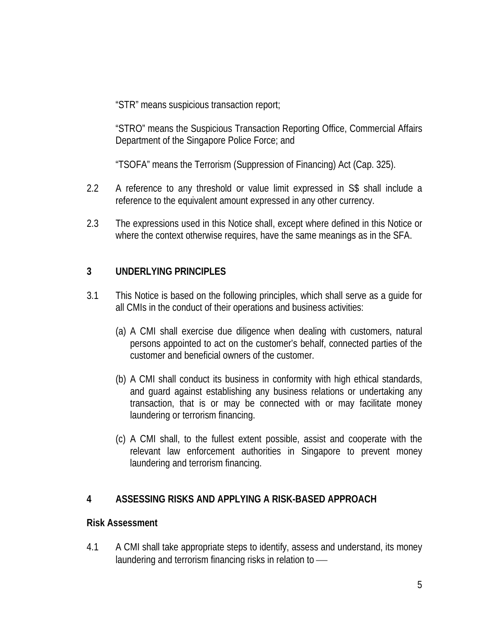"STR" means suspicious transaction report;

"STRO" means the Suspicious Transaction Reporting Office, Commercial Affairs Department of the Singapore Police Force; and

"TSOFA" means the Terrorism (Suppression of Financing) Act (Cap. 325).

- 2.2 A reference to any threshold or value limit expressed in S\$ shall include a reference to the equivalent amount expressed in any other currency.
- 2.3 The expressions used in this Notice shall, except where defined in this Notice or where the context otherwise requires, have the same meanings as in the SFA.

# **3 UNDERLYING PRINCIPLES**

- 3.1 This Notice is based on the following principles, which shall serve as a guide for all CMIs in the conduct of their operations and business activities:
	- (a) A CMI shall exercise due diligence when dealing with customers, natural persons appointed to act on the customer's behalf, connected parties of the customer and beneficial owners of the customer.
	- (b) A CMI shall conduct its business in conformity with high ethical standards, and guard against establishing any business relations or undertaking any transaction, that is or may be connected with or may facilitate money laundering or terrorism financing.
	- (c) A CMI shall, to the fullest extent possible, assist and cooperate with the relevant law enforcement authorities in Singapore to prevent money laundering and terrorism financing.

# **4 ASSESSING RISKS AND APPLYING A RISK-BASED APPROACH**

## **Risk Assessment**

4.1 A CMI shall take appropriate steps to identify, assess and understand, its money laundering and terrorism financing risks in relation to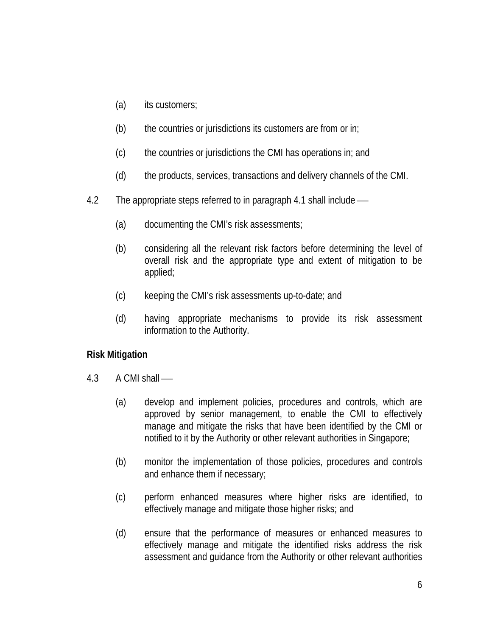- (a) its customers;
- $(b)$  the countries or jurisdictions its customers are from or in;
- (c) the countries or jurisdictions the CMI has operations in; and
- (d) the products, services, transactions and delivery channels of the CMI.
- 4.2 The appropriate steps referred to in paragraph 4.1 shall include
	- (a) documenting the CMI's risk assessments;
	- (b) considering all the relevant risk factors before determining the level of overall risk and the appropriate type and extent of mitigation to be applied;
	- (c) keeping the CMI's risk assessments up-to-date; and
	- (d) having appropriate mechanisms to provide its risk assessment information to the Authority.

# **Risk Mitigation**

- 4.3 A CMI shall
	- (a) develop and implement policies, procedures and controls, which are approved by senior management, to enable the CMI to effectively manage and mitigate the risks that have been identified by the CMI or notified to it by the Authority or other relevant authorities in Singapore;
	- (b) monitor the implementation of those policies, procedures and controls and enhance them if necessary;
	- (c) perform enhanced measures where higher risks are identified, to effectively manage and mitigate those higher risks; and
	- (d) ensure that the performance of measures or enhanced measures to effectively manage and mitigate the identified risks address the risk assessment and guidance from the Authority or other relevant authorities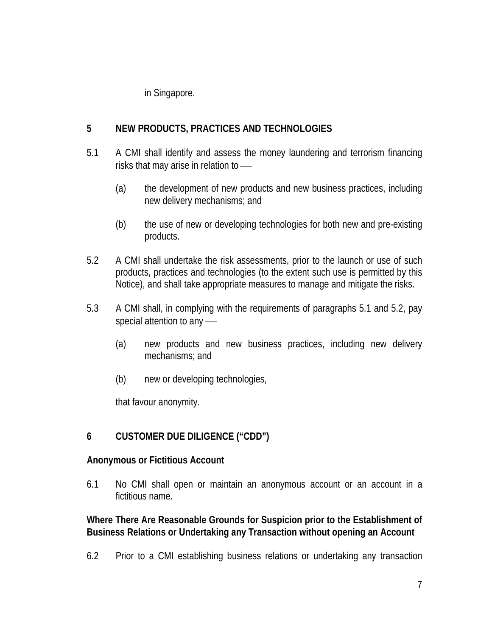in Singapore.

# **5 NEW PRODUCTS, PRACTICES AND TECHNOLOGIES**

- 5.1 A CMI shall identify and assess the money laundering and terrorism financing risks that may arise in relation to
	- (a) the development of new products and new business practices, including new delivery mechanisms; and
	- (b) the use of new or developing technologies for both new and pre-existing products.
- 5.2 A CMI shall undertake the risk assessments, prior to the launch or use of such products, practices and technologies (to the extent such use is permitted by this Notice), and shall take appropriate measures to manage and mitigate the risks.
- 5.3 A CMI shall, in complying with the requirements of paragraphs 5.1 and 5.2, pay special attention to any -
	- (a) new products and new business practices, including new delivery mechanisms; and
	- (b) new or developing technologies,

that favour anonymity.

# **6 CUSTOMER DUE DILIGENCE ("CDD")**

# **Anonymous or Fictitious Account**

6.1 No CMI shall open or maintain an anonymous account or an account in a fictitious name.

# **Where There Are Reasonable Grounds for Suspicion prior to the Establishment of Business Relations or Undertaking any Transaction without opening an Account**

6.2 Prior to a CMI establishing business relations or undertaking any transaction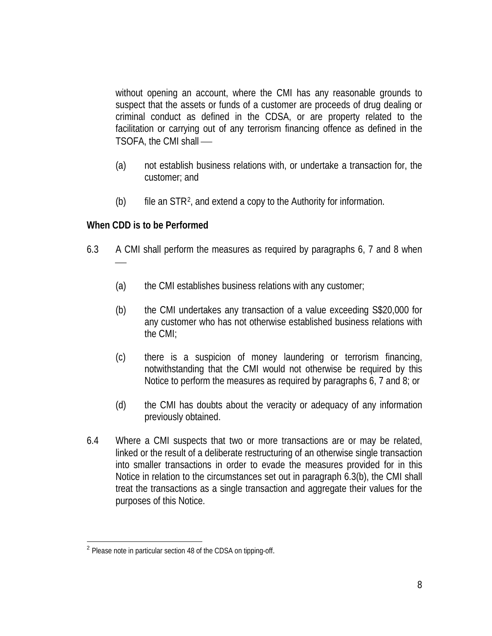without opening an account, where the CMI has any reasonable grounds to suspect that the assets or funds of a customer are proceeds of drug dealing or criminal conduct as defined in the CDSA, or are property related to the facilitation or carrying out of any terrorism financing offence as defined in the TSOFA, the CMI shall

- (a) not establish business relations with, or undertake a transaction for, the customer; and
- (b) file an  $STR<sup>2</sup>$  $STR<sup>2</sup>$  $STR<sup>2</sup>$ , and extend a copy to the Authority for information.

## **When CDD is to be Performed**

- 6.3 A CMI shall perform the measures as required by paragraphs 6, 7 and 8 when
	- (a) the CMI establishes business relations with any customer;
	- (b) the CMI undertakes any transaction of a value exceeding S\$20,000 for any customer who has not otherwise established business relations with the CMI;
	- (c) there is a suspicion of money laundering or terrorism financing, notwithstanding that the CMI would not otherwise be required by this Notice to perform the measures as required by paragraphs 6, 7 and 8; or
	- (d) the CMI has doubts about the veracity or adequacy of any information previously obtained.
- 6.4 Where a CMI suspects that two or more transactions are or may be related, linked or the result of a deliberate restructuring of an otherwise single transaction into smaller transactions in order to evade the measures provided for in this Notice in relation to the circumstances set out in paragraph 6.3(b), the CMI shall treat the transactions as a single transaction and aggregate their values for the purposes of this Notice.

<span id="page-7-0"></span><sup>&</sup>lt;sup>2</sup> Please note in particular section 48 of the CDSA on tipping-off.  $\overline{a}$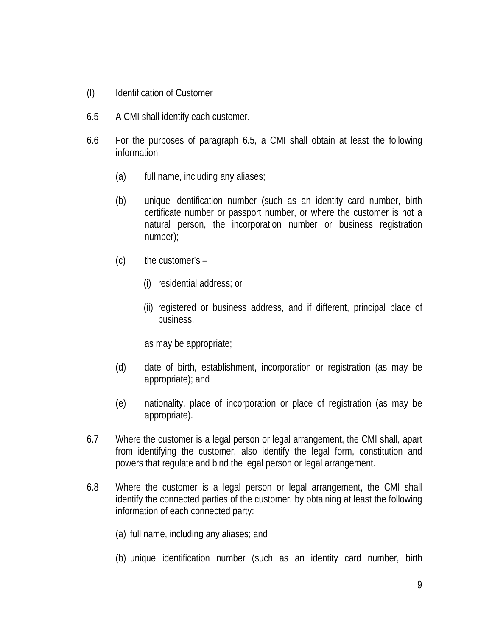## (I) Identification of Customer

- 6.5 A CMI shall identify each customer.
- 6.6 For the purposes of paragraph 6.5, a CMI shall obtain at least the following information:
	- (a) full name, including any aliases;
	- (b) unique identification number (such as an identity card number, birth certificate number or passport number, or where the customer is not a natural person, the incorporation number or business registration number);
	- $(c)$  the customer's  $-$ 
		- (i) residential address; or
		- (ii) registered or business address, and if different, principal place of business,

as may be appropriate;

- (d) date of birth, establishment, incorporation or registration (as may be appropriate); and
- (e) nationality, place of incorporation or place of registration (as may be appropriate).
- 6.7 Where the customer is a legal person or legal arrangement, the CMI shall, apart from identifying the customer, also identify the legal form, constitution and powers that regulate and bind the legal person or legal arrangement.
- 6.8 Where the customer is a legal person or legal arrangement, the CMI shall identify the connected parties of the customer, by obtaining at least the following information of each connected party:
	- (a) full name, including any aliases; and
	- (b) unique identification number (such as an identity card number, birth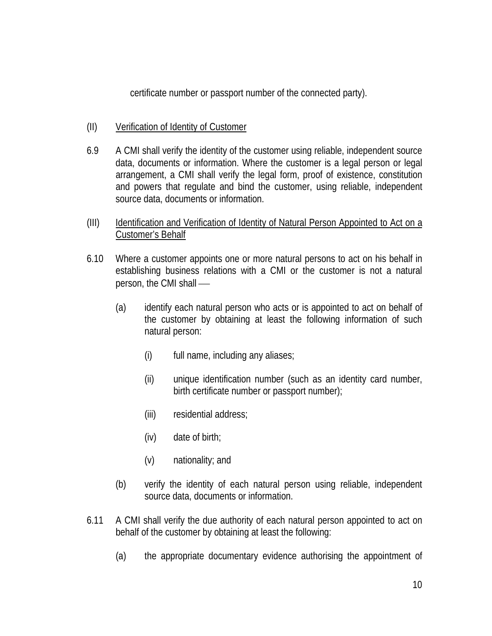certificate number or passport number of the connected party).

- (II) Verification of Identity of Customer
- 6.9 A CMI shall verify the identity of the customer using reliable, independent source data, documents or information. Where the customer is a legal person or legal arrangement, a CMI shall verify the legal form, proof of existence, constitution and powers that regulate and bind the customer, using reliable, independent source data, documents or information.
- (III) Identification and Verification of Identity of Natural Person Appointed to Act on a Customer's Behalf
- 6.10 Where a customer appoints one or more natural persons to act on his behalf in establishing business relations with a CMI or the customer is not a natural person, the CMI shall
	- (a) identify each natural person who acts or is appointed to act on behalf of the customer by obtaining at least the following information of such natural person:
		- (i) full name, including any aliases;
		- (ii) unique identification number (such as an identity card number, birth certificate number or passport number);
		- (iii) residential address;
		- (iv) date of birth;
		- (v) nationality; and
	- (b) verify the identity of each natural person using reliable, independent source data, documents or information.
- 6.11 A CMI shall verify the due authority of each natural person appointed to act on behalf of the customer by obtaining at least the following:
	- (a) the appropriate documentary evidence authorising the appointment of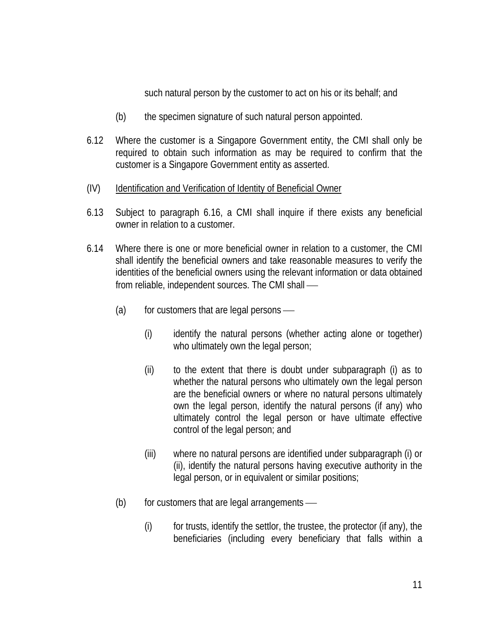such natural person by the customer to act on his or its behalf; and

- (b) the specimen signature of such natural person appointed.
- 6.12 Where the customer is a Singapore Government entity, the CMI shall only be required to obtain such information as may be required to confirm that the customer is a Singapore Government entity as asserted.
- (IV) Identification and Verification of Identity of Beneficial Owner
- 6.13 Subject to paragraph 6.16, a CMI shall inquire if there exists any beneficial owner in relation to a customer.
- 6.14 Where there is one or more beneficial owner in relation to a customer, the CMI shall identify the beneficial owners and take reasonable measures to verify the identities of the beneficial owners using the relevant information or data obtained from reliable, independent sources. The CMI shall
	- $(a)$  for customers that are legal persons
		- (i) identify the natural persons (whether acting alone or together) who ultimately own the legal person;
		- (ii) to the extent that there is doubt under subparagraph (i) as to whether the natural persons who ultimately own the legal person are the beneficial owners or where no natural persons ultimately own the legal person, identify the natural persons (if any) who ultimately control the legal person or have ultimate effective control of the legal person; and
		- (iii) where no natural persons are identified under subparagraph (i) or (ii), identify the natural persons having executive authority in the legal person, or in equivalent or similar positions;
	- $(b)$  for customers that are legal arrangements
		- $(i)$  for trusts, identify the settlor, the trustee, the protector (if any), the beneficiaries (including every beneficiary that falls within a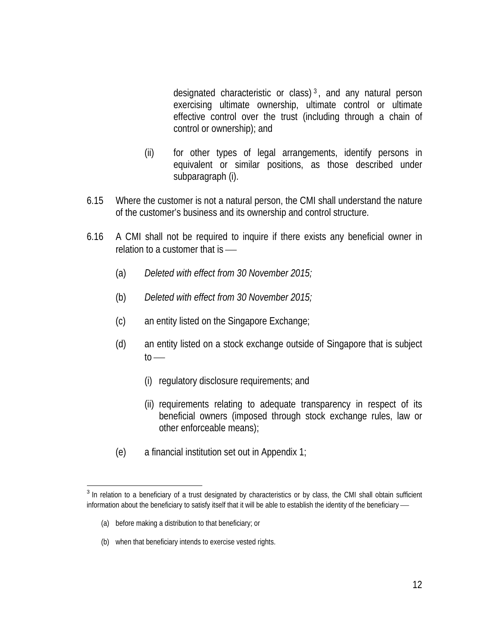designated characteristic or class) [3](#page-11-0) , and any natural person exercising ultimate ownership, ultimate control or ultimate effective control over the trust (including through a chain of control or ownership); and

- (ii) for other types of legal arrangements, identify persons in equivalent or similar positions, as those described under subparagraph (i).
- 6.15 Where the customer is not a natural person, the CMI shall understand the nature of the customer's business and its ownership and control structure.
- 6.16 A CMI shall not be required to inquire if there exists any beneficial owner in relation to a customer that is —
	- (a) *Deleted with effect from 30 November 2015;*
	- (b) *Deleted with effect from 30 November 2015;*
	- (c) an entity listed on the Singapore Exchange;
	- (d) an entity listed on a stock exchange outside of Singapore that is subject  $to$ 
		- (i) regulatory disclosure requirements; and
		- (ii) requirements relating to adequate transparency in respect of its beneficial owners (imposed through stock exchange rules, law or other enforceable means);
	- (e) a financial institution set out in Appendix 1;

- (a) before making a distribution to that beneficiary; or
- (b) when that beneficiary intends to exercise vested rights.

<span id="page-11-0"></span><sup>&</sup>lt;sup>3</sup> In relation to a beneficiary of a trust designated by characteristics or by class, the CMI shall obtain sufficient information about the beneficiary to satisfy itself that it will be able to establish the identity of the beneficiary —  $\overline{\phantom{a}}$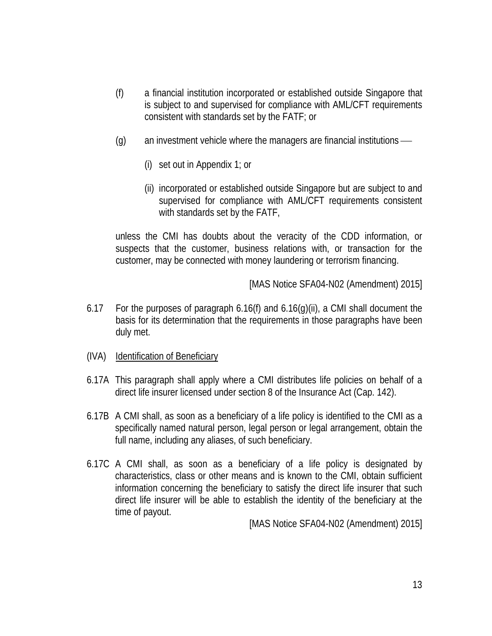- (f) a financial institution incorporated or established outside Singapore that is subject to and supervised for compliance with AML/CFT requirements consistent with standards set by the FATF; or
- (g) an investment vehicle where the managers are financial institutions
	- (i) set out in Appendix 1; or
	- (ii) incorporated or established outside Singapore but are subject to and supervised for compliance with AML/CFT requirements consistent with standards set by the FATF,

unless the CMI has doubts about the veracity of the CDD information, or suspects that the customer, business relations with, or transaction for the customer, may be connected with money laundering or terrorism financing.

[MAS Notice SFA04-N02 (Amendment) 2015]

- 6.17 For the purposes of paragraph 6.16(f) and 6.16(g)(ii), a CMI shall document the basis for its determination that the requirements in those paragraphs have been duly met.
- (IVA) Identification of Beneficiary
- 6.17A This paragraph shall apply where a CMI distributes life policies on behalf of a direct life insurer licensed under section 8 of the Insurance Act (Cap. 142).
- 6.17B A CMI shall, as soon as a beneficiary of a life policy is identified to the CMI as a specifically named natural person, legal person or legal arrangement, obtain the full name, including any aliases, of such beneficiary.
- 6.17C A CMI shall, as soon as a beneficiary of a life policy is designated by characteristics, class or other means and is known to the CMI, obtain sufficient information concerning the beneficiary to satisfy the direct life insurer that such direct life insurer will be able to establish the identity of the beneficiary at the time of payout.

[MAS Notice SFA04-N02 (Amendment) 2015]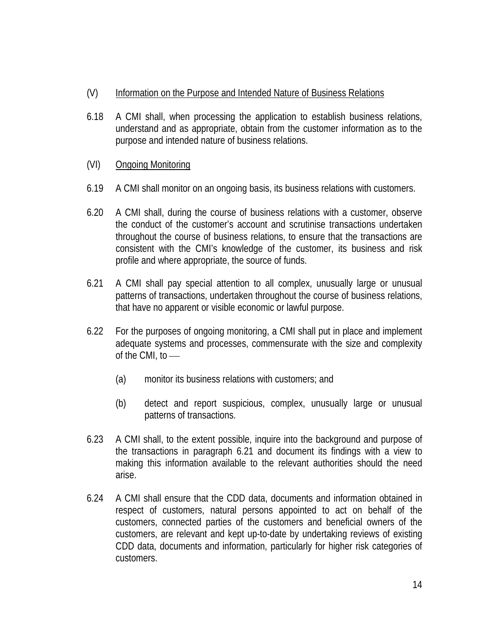- (V) Information on the Purpose and Intended Nature of Business Relations
- 6.18 A CMI shall, when processing the application to establish business relations, understand and as appropriate, obtain from the customer information as to the purpose and intended nature of business relations.
- (VI) Ongoing Monitoring
- 6.19 A CMI shall monitor on an ongoing basis, its business relations with customers.
- 6.20 A CMI shall, during the course of business relations with a customer, observe the conduct of the customer's account and scrutinise transactions undertaken throughout the course of business relations, to ensure that the transactions are consistent with the CMI's knowledge of the customer, its business and risk profile and where appropriate, the source of funds.
- 6.21 A CMI shall pay special attention to all complex, unusually large or unusual patterns of transactions, undertaken throughout the course of business relations, that have no apparent or visible economic or lawful purpose.
- 6.22 For the purposes of ongoing monitoring, a CMI shall put in place and implement adequate systems and processes, commensurate with the size and complexity of the CMI, to
	- (a) monitor its business relations with customers; and
	- (b) detect and report suspicious, complex, unusually large or unusual patterns of transactions.
- 6.23 A CMI shall, to the extent possible, inquire into the background and purpose of the transactions in paragraph 6.21 and document its findings with a view to making this information available to the relevant authorities should the need arise.
- 6.24 A CMI shall ensure that the CDD data, documents and information obtained in respect of customers, natural persons appointed to act on behalf of the customers, connected parties of the customers and beneficial owners of the customers, are relevant and kept up-to-date by undertaking reviews of existing CDD data, documents and information, particularly for higher risk categories of customers.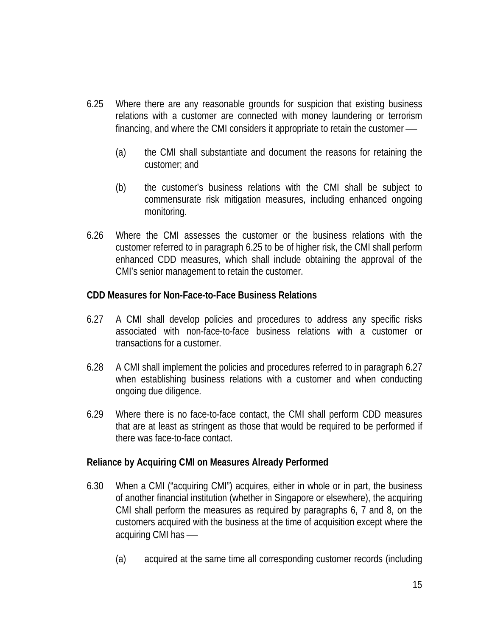- 6.25 Where there are any reasonable grounds for suspicion that existing business relations with a customer are connected with money laundering or terrorism financing, and where the CMI considers it appropriate to retain the customer
	- (a) the CMI shall substantiate and document the reasons for retaining the customer; and
	- (b) the customer's business relations with the CMI shall be subject to commensurate risk mitigation measures, including enhanced ongoing monitoring.
- 6.26 Where the CMI assesses the customer or the business relations with the customer referred to in paragraph 6.25 to be of higher risk, the CMI shall perform enhanced CDD measures, which shall include obtaining the approval of the CMI's senior management to retain the customer.

## **CDD Measures for Non-Face-to-Face Business Relations**

- 6.27 A CMI shall develop policies and procedures to address any specific risks associated with non-face-to-face business relations with a customer or transactions for a customer.
- 6.28 A CMI shall implement the policies and procedures referred to in paragraph 6.27 when establishing business relations with a customer and when conducting ongoing due diligence.
- 6.29 Where there is no face-to-face contact, the CMI shall perform CDD measures that are at least as stringent as those that would be required to be performed if there was face-to-face contact.

## **Reliance by Acquiring CMI on Measures Already Performed**

- 6.30 When a CMI ("acquiring CMI") acquires, either in whole or in part, the business of another financial institution (whether in Singapore or elsewhere), the acquiring CMI shall perform the measures as required by paragraphs 6, 7 and 8, on the customers acquired with the business at the time of acquisition except where the acquiring CMI has
	- (a) acquired at the same time all corresponding customer records (including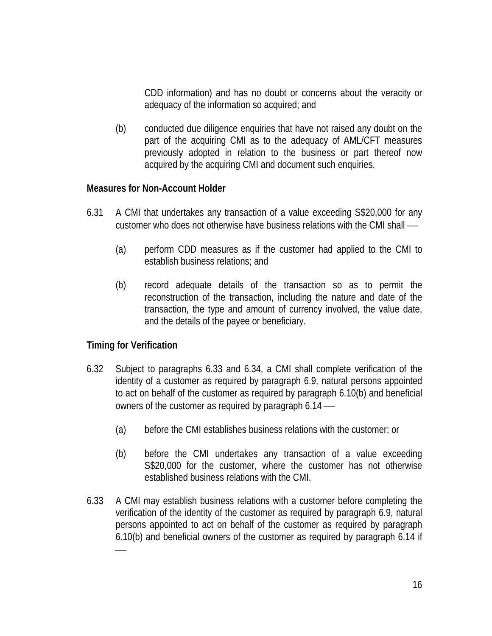CDD information) and has no doubt or concerns about the veracity or adequacy of the information so acquired; and

(b) conducted due diligence enquiries that have not raised any doubt on the part of the acquiring CMI as to the adequacy of AML/CFT measures previously adopted in relation to the business or part thereof now acquired by the acquiring CMI and document such enquiries.

#### **Measures for Non-Account Holder**

- 6.31 A CMI that undertakes any transaction of a value exceeding S\$20,000 for any customer who does not otherwise have business relations with the CMI shall
	- (a) perform CDD measures as if the customer had applied to the CMI to establish business relations; and
	- (b) record adequate details of the transaction so as to permit the reconstruction of the transaction, including the nature and date of the transaction, the type and amount of currency involved, the value date, and the details of the payee or beneficiary.

## **Timing for Verification**

- 6.32 Subject to paragraphs 6.33 and 6.34, a CMI shall complete verification of the identity of a customer as required by paragraph 6.9, natural persons appointed to act on behalf of the customer as required by paragraph 6.10(b) and beneficial owners of the customer as required by paragraph 6.14
	- (a) before the CMI establishes business relations with the customer; or
	- (b) before the CMI undertakes any transaction of a value exceeding S\$20,000 for the customer, where the customer has not otherwise established business relations with the CMI.
- 6.33 A CMI may establish business relations with a customer before completing the verification of the identity of the customer as required by paragraph 6.9, natural persons appointed to act on behalf of the customer as required by paragraph 6.10(b) and beneficial owners of the customer as required by paragraph 6.14 if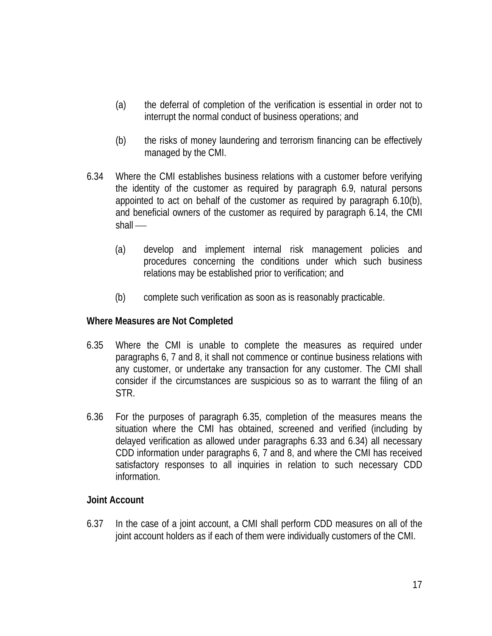- (a) the deferral of completion of the verification is essential in order not to interrupt the normal conduct of business operations; and
- (b) the risks of money laundering and terrorism financing can be effectively managed by the CMI.
- 6.34 Where the CMI establishes business relations with a customer before verifying the identity of the customer as required by paragraph 6.9, natural persons appointed to act on behalf of the customer as required by paragraph 6.10(b), and beneficial owners of the customer as required by paragraph 6.14, the CMI shall —
	- (a) develop and implement internal risk management policies and procedures concerning the conditions under which such business relations may be established prior to verification; and
	- (b) complete such verification as soon as is reasonably practicable.

#### **Where Measures are Not Completed**

- 6.35 Where the CMI is unable to complete the measures as required under paragraphs 6, 7 and 8, it shall not commence or continue business relations with any customer, or undertake any transaction for any customer. The CMI shall consider if the circumstances are suspicious so as to warrant the filing of an STR.
- 6.36 For the purposes of paragraph 6.35, completion of the measures means the situation where the CMI has obtained, screened and verified (including by delayed verification as allowed under paragraphs 6.33 and 6.34) all necessary CDD information under paragraphs 6, 7 and 8, and where the CMI has received satisfactory responses to all inquiries in relation to such necessary CDD information.

## **Joint Account**

6.37 In the case of a joint account, a CMI shall perform CDD measures on all of the joint account holders as if each of them were individually customers of the CMI.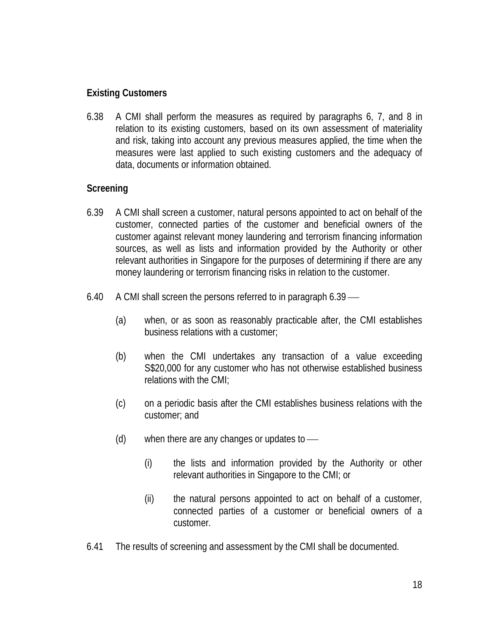## **Existing Customers**

6.38 A CMI shall perform the measures as required by paragraphs 6, 7, and 8 in relation to its existing customers, based on its own assessment of materiality and risk, taking into account any previous measures applied, the time when the measures were last applied to such existing customers and the adequacy of data, documents or information obtained.

## **Screening**

- 6.39 A CMI shall screen a customer, natural persons appointed to act on behalf of the customer, connected parties of the customer and beneficial owners of the customer against relevant money laundering and terrorism financing information sources, as well as lists and information provided by the Authority or other relevant authorities in Singapore for the purposes of determining if there are any money laundering or terrorism financing risks in relation to the customer.
- 6.40 A CMI shall screen the persons referred to in paragraph 6.39
	- (a) when, or as soon as reasonably practicable after, the CMI establishes business relations with a customer;
	- (b) when the CMI undertakes any transaction of a value exceeding S\$20,000 for any customer who has not otherwise established business relations with the CMI;
	- (c) on a periodic basis after the CMI establishes business relations with the customer; and
	- (d) when there are any changes or updates to
		- (i) the lists and information provided by the Authority or other relevant authorities in Singapore to the CMI; or
		- (ii) the natural persons appointed to act on behalf of a customer, connected parties of a customer or beneficial owners of a customer.
- 6.41 The results of screening and assessment by the CMI shall be documented.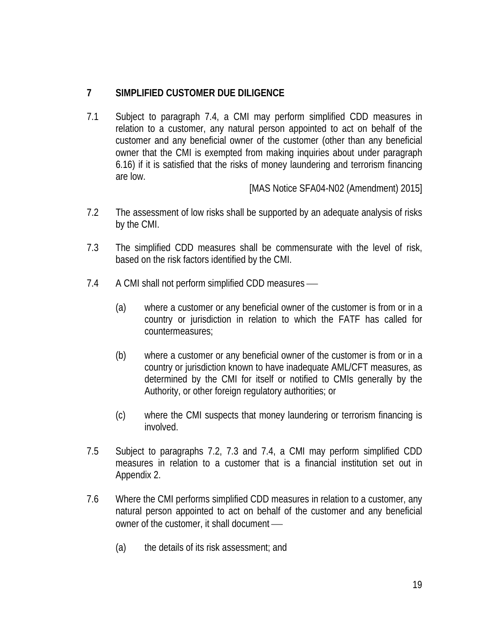# **7 SIMPLIFIED CUSTOMER DUE DILIGENCE**

7.1 Subject to paragraph 7.4, a CMI may perform simplified CDD measures in relation to a customer, any natural person appointed to act on behalf of the customer and any beneficial owner of the customer (other than any beneficial owner that the CMI is exempted from making inquiries about under paragraph 6.16) if it is satisfied that the risks of money laundering and terrorism financing are low.

[MAS Notice SFA04-N02 (Amendment) 2015]

- 7.2 The assessment of low risks shall be supported by an adequate analysis of risks by the CMI.
- 7.3 The simplified CDD measures shall be commensurate with the level of risk, based on the risk factors identified by the CMI.
- 7.4 A CMI shall not perform simplified CDD measures
	- (a) where a customer or any beneficial owner of the customer is from or in a country or jurisdiction in relation to which the FATF has called for countermeasures;
	- (b) where a customer or any beneficial owner of the customer is from or in a country or jurisdiction known to have inadequate AML/CFT measures, as determined by the CMI for itself or notified to CMIs generally by the Authority, or other foreign regulatory authorities; or
	- (c) where the CMI suspects that money laundering or terrorism financing is involved.
- 7.5 Subject to paragraphs 7.2, 7.3 and 7.4, a CMI may perform simplified CDD measures in relation to a customer that is a financial institution set out in Appendix 2.
- 7.6 Where the CMI performs simplified CDD measures in relation to a customer, any natural person appointed to act on behalf of the customer and any beneficial owner of the customer, it shall document
	- (a) the details of its risk assessment; and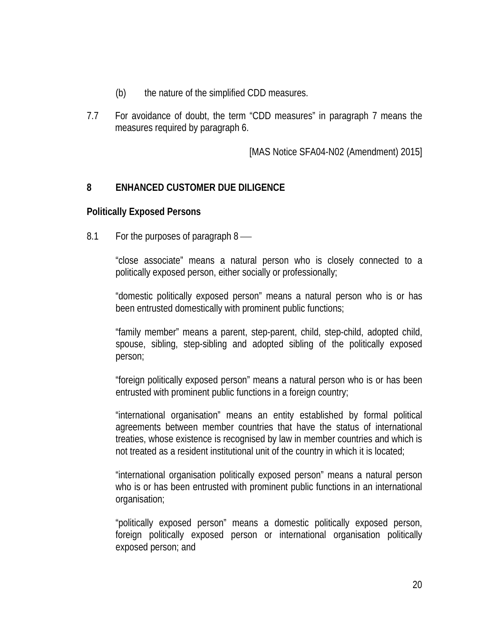- (b) the nature of the simplified CDD measures.
- 7.7 For avoidance of doubt, the term "CDD measures" in paragraph 7 means the measures required by paragraph 6.

[MAS Notice SFA04-N02 (Amendment) 2015]

## **8 ENHANCED CUSTOMER DUE DILIGENCE**

#### **Politically Exposed Persons**

8.1 For the purposes of paragraph 8

"close associate" means a natural person who is closely connected to a politically exposed person, either socially or professionally;

"domestic politically exposed person" means a natural person who is or has been entrusted domestically with prominent public functions;

"family member" means a parent, step-parent, child, step-child, adopted child, spouse, sibling, step-sibling and adopted sibling of the politically exposed person;

"foreign politically exposed person" means a natural person who is or has been entrusted with prominent public functions in a foreign country;

"international organisation" means an entity established by formal political agreements between member countries that have the status of international treaties, whose existence is recognised by law in member countries and which is not treated as a resident institutional unit of the country in which it is located;

"international organisation politically exposed person" means a natural person who is or has been entrusted with prominent public functions in an international organisation;

"politically exposed person" means a domestic politically exposed person, foreign politically exposed person or international organisation politically exposed person; and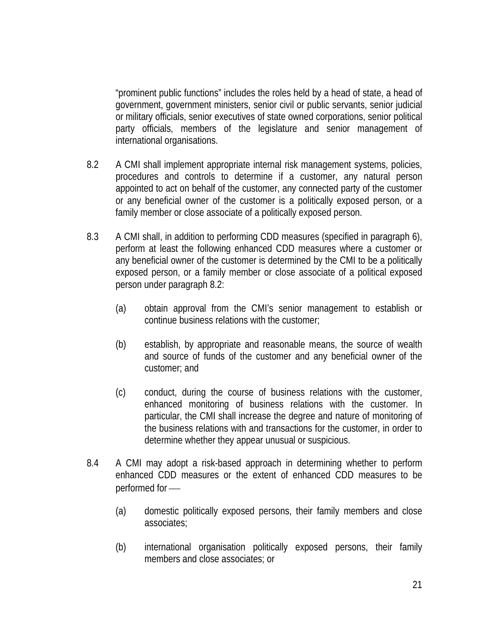"prominent public functions" includes the roles held by a head of state, a head of government, government ministers, senior civil or public servants, senior judicial or military officials, senior executives of state owned corporations, senior political party officials, members of the legislature and senior management of international organisations.

- 8.2 A CMI shall implement appropriate internal risk management systems, policies, procedures and controls to determine if a customer, any natural person appointed to act on behalf of the customer, any connected party of the customer or any beneficial owner of the customer is a politically exposed person, or a family member or close associate of a politically exposed person.
- 8.3 A CMI shall, in addition to performing CDD measures (specified in paragraph 6), perform at least the following enhanced CDD measures where a customer or any beneficial owner of the customer is determined by the CMI to be a politically exposed person, or a family member or close associate of a political exposed person under paragraph 8.2:
	- (a) obtain approval from the CMI's senior management to establish or continue business relations with the customer;
	- (b) establish, by appropriate and reasonable means, the source of wealth and source of funds of the customer and any beneficial owner of the customer; and
	- (c) conduct, during the course of business relations with the customer, enhanced monitoring of business relations with the customer. In particular, the CMI shall increase the degree and nature of monitoring of the business relations with and transactions for the customer, in order to determine whether they appear unusual or suspicious.
- 8.4 A CMI may adopt a risk-based approach in determining whether to perform enhanced CDD measures or the extent of enhanced CDD measures to be performed for
	- (a) domestic politically exposed persons, their family members and close associates;
	- (b) international organisation politically exposed persons, their family members and close associates; or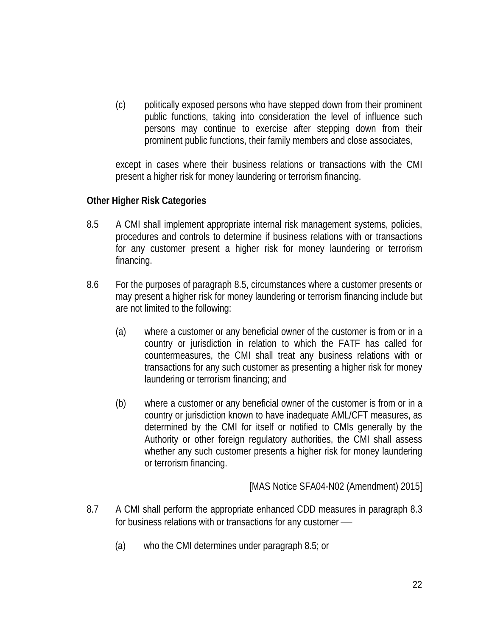(c) politically exposed persons who have stepped down from their prominent public functions, taking into consideration the level of influence such persons may continue to exercise after stepping down from their prominent public functions, their family members and close associates,

except in cases where their business relations or transactions with the CMI present a higher risk for money laundering or terrorism financing.

## **Other Higher Risk Categories**

- 8.5 A CMI shall implement appropriate internal risk management systems, policies, procedures and controls to determine if business relations with or transactions for any customer present a higher risk for money laundering or terrorism financing.
- 8.6 For the purposes of paragraph 8.5, circumstances where a customer presents or may present a higher risk for money laundering or terrorism financing include but are not limited to the following:
	- (a) where a customer or any beneficial owner of the customer is from or in a country or jurisdiction in relation to which the FATF has called for countermeasures, the CMI shall treat any business relations with or transactions for any such customer as presenting a higher risk for money laundering or terrorism financing; and
	- (b) where a customer or any beneficial owner of the customer is from or in a country or jurisdiction known to have inadequate AML/CFT measures, as determined by the CMI for itself or notified to CMIs generally by the Authority or other foreign regulatory authorities, the CMI shall assess whether any such customer presents a higher risk for money laundering or terrorism financing.

[MAS Notice SFA04-N02 (Amendment) 2015]

- 8.7 A CMI shall perform the appropriate enhanced CDD measures in paragraph 8.3 for business relations with or transactions for any customer
	- (a) who the CMI determines under paragraph 8.5; or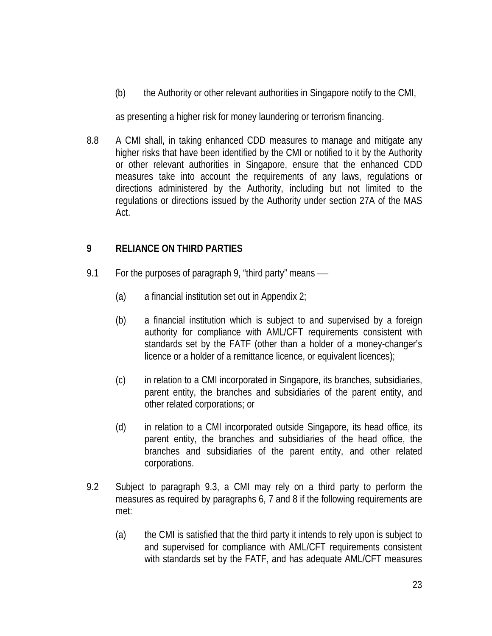(b) the Authority or other relevant authorities in Singapore notify to the CMI,

as presenting a higher risk for money laundering or terrorism financing.

8.8 A CMI shall, in taking enhanced CDD measures to manage and mitigate any higher risks that have been identified by the CMI or notified to it by the Authority or other relevant authorities in Singapore, ensure that the enhanced CDD measures take into account the requirements of any laws, regulations or directions administered by the Authority, including but not limited to the regulations or directions issued by the Authority under section 27A of the MAS Act.

## **9 RELIANCE ON THIRD PARTIES**

- 9.1 For the purposes of paragraph 9, "third party" means
	- (a) a financial institution set out in Appendix 2;
	- (b) a financial institution which is subject to and supervised by a foreign authority for compliance with AML/CFT requirements consistent with standards set by the FATF (other than a holder of a money-changer's licence or a holder of a remittance licence, or equivalent licences);
	- (c) in relation to a CMI incorporated in Singapore, its branches, subsidiaries, parent entity, the branches and subsidiaries of the parent entity, and other related corporations; or
	- (d) in relation to a CMI incorporated outside Singapore, its head office, its parent entity, the branches and subsidiaries of the head office, the branches and subsidiaries of the parent entity, and other related corporations.
- 9.2 Subject to paragraph 9.3, a CMI may rely on a third party to perform the measures as required by paragraphs 6, 7 and 8 if the following requirements are met:
	- (a) the CMI is satisfied that the third party it intends to rely upon is subject to and supervised for compliance with AML/CFT requirements consistent with standards set by the FATF, and has adequate AML/CFT measures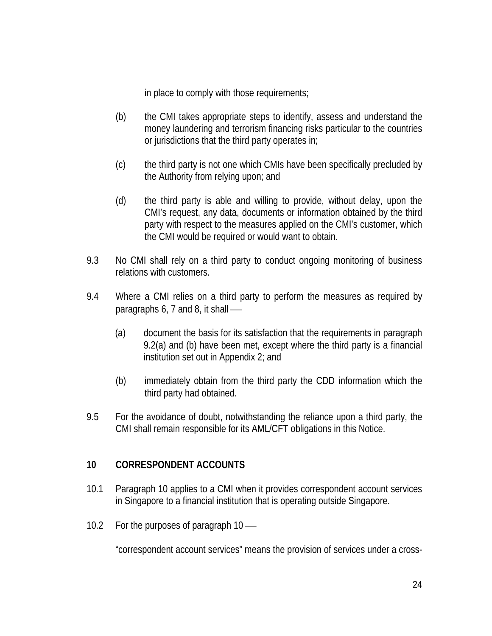in place to comply with those requirements;

- (b) the CMI takes appropriate steps to identify, assess and understand the money laundering and terrorism financing risks particular to the countries or jurisdictions that the third party operates in;
- (c) the third party is not one which CMIs have been specifically precluded by the Authority from relying upon; and
- (d) the third party is able and willing to provide, without delay, upon the CMI's request, any data, documents or information obtained by the third party with respect to the measures applied on the CMI's customer, which the CMI would be required or would want to obtain.
- 9.3 No CMI shall rely on a third party to conduct ongoing monitoring of business relations with customers.
- 9.4 Where a CMI relies on a third party to perform the measures as required by paragraphs 6, 7 and 8, it shall
	- (a) document the basis for its satisfaction that the requirements in paragraph 9.2(a) and (b) have been met, except where the third party is a financial institution set out in Appendix 2; and
	- (b) immediately obtain from the third party the CDD information which the third party had obtained.
- 9.5 For the avoidance of doubt, notwithstanding the reliance upon a third party, the CMI shall remain responsible for its AML/CFT obligations in this Notice.

## **10 CORRESPONDENT ACCOUNTS**

- 10.1 Paragraph 10 applies to a CMI when it provides correspondent account services in Singapore to a financial institution that is operating outside Singapore.
- 10.2 For the purposes of paragraph 10 —

"correspondent account services" means the provision of services under a cross-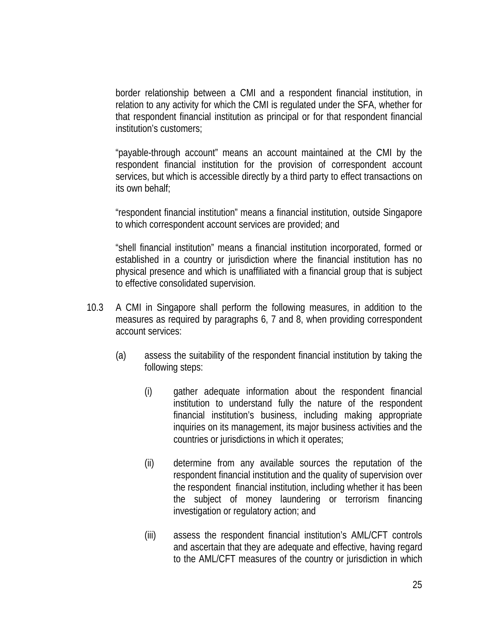border relationship between a CMI and a respondent financial institution, in relation to any activity for which the CMI is regulated under the SFA, whether for that respondent financial institution as principal or for that respondent financial institution's customers;

"payable-through account" means an account maintained at the CMI by the respondent financial institution for the provision of correspondent account services, but which is accessible directly by a third party to effect transactions on its own behalf;

"respondent financial institution" means a financial institution, outside Singapore to which correspondent account services are provided; and

"shell financial institution" means a financial institution incorporated, formed or established in a country or jurisdiction where the financial institution has no physical presence and which is unaffiliated with a financial group that is subject to effective consolidated supervision.

- 10.3 A CMI in Singapore shall perform the following measures, in addition to the measures as required by paragraphs 6, 7 and 8, when providing correspondent account services:
	- (a) assess the suitability of the respondent financial institution by taking the following steps:
		- (i) gather adequate information about the respondent financial institution to understand fully the nature of the respondent financial institution's business, including making appropriate inquiries on its management, its major business activities and the countries or jurisdictions in which it operates;
		- (ii) determine from any available sources the reputation of the respondent financial institution and the quality of supervision over the respondent financial institution, including whether it has been the subject of money laundering or terrorism financing investigation or regulatory action; and
		- (iii) assess the respondent financial institution's AML/CFT controls and ascertain that they are adequate and effective, having regard to the AML/CFT measures of the country or jurisdiction in which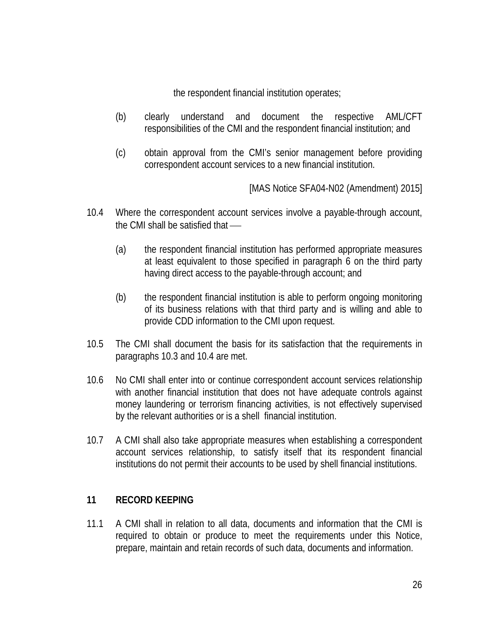the respondent financial institution operates;

- (b) clearly understand and document the respective AML/CFT responsibilities of the CMI and the respondent financial institution; and
- (c) obtain approval from the CMI's senior management before providing correspondent account services to a new financial institution.

[MAS Notice SFA04-N02 (Amendment) 2015]

- 10.4 Where the correspondent account services involve a payable-through account, the CMI shall be satisfied that
	- (a) the respondent financial institution has performed appropriate measures at least equivalent to those specified in paragraph 6 on the third party having direct access to the payable-through account; and
	- (b) the respondent financial institution is able to perform ongoing monitoring of its business relations with that third party and is willing and able to provide CDD information to the CMI upon request.
- 10.5 The CMI shall document the basis for its satisfaction that the requirements in paragraphs 10.3 and 10.4 are met.
- 10.6 No CMI shall enter into or continue correspondent account services relationship with another financial institution that does not have adequate controls against money laundering or terrorism financing activities, is not effectively supervised by the relevant authorities or is a shell financial institution.
- 10.7 A CMI shall also take appropriate measures when establishing a correspondent account services relationship, to satisfy itself that its respondent financial institutions do not permit their accounts to be used by shell financial institutions.

# **11 RECORD KEEPING**

11.1 A CMI shall in relation to all data, documents and information that the CMI is required to obtain or produce to meet the requirements under this Notice, prepare, maintain and retain records of such data, documents and information.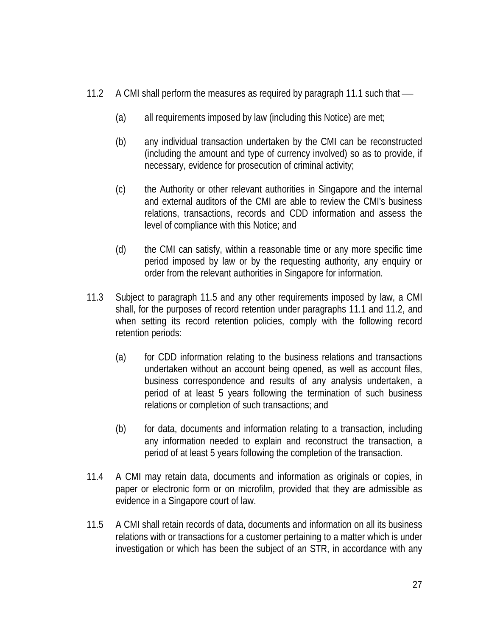- 11.2 A CMI shall perform the measures as required by paragraph 11.1 such that
	- (a) all requirements imposed by law (including this Notice) are met;
	- (b) any individual transaction undertaken by the CMI can be reconstructed (including the amount and type of currency involved) so as to provide, if necessary, evidence for prosecution of criminal activity;
	- (c) the Authority or other relevant authorities in Singapore and the internal and external auditors of the CMI are able to review the CMI's business relations, transactions, records and CDD information and assess the level of compliance with this Notice; and
	- (d) the CMI can satisfy, within a reasonable time or any more specific time period imposed by law or by the requesting authority, any enquiry or order from the relevant authorities in Singapore for information.
- 11.3 Subject to paragraph 11.5 and any other requirements imposed by law, a CMI shall, for the purposes of record retention under paragraphs 11.1 and 11.2, and when setting its record retention policies, comply with the following record retention periods:
	- (a) for CDD information relating to the business relations and transactions undertaken without an account being opened, as well as account files, business correspondence and results of any analysis undertaken, a period of at least 5 years following the termination of such business relations or completion of such transactions; and
	- (b) for data, documents and information relating to a transaction, including any information needed to explain and reconstruct the transaction, a period of at least 5 years following the completion of the transaction.
- 11.4 A CMI may retain data, documents and information as originals or copies, in paper or electronic form or on microfilm, provided that they are admissible as evidence in a Singapore court of law.
- 11.5 A CMI shall retain records of data, documents and information on all its business relations with or transactions for a customer pertaining to a matter which is under investigation or which has been the subject of an STR, in accordance with any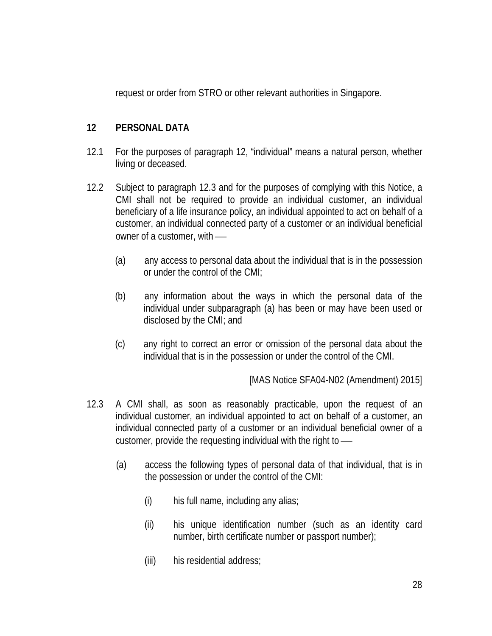request or order from STRO or other relevant authorities in Singapore.

# **12 PERSONAL DATA**

- 12.1 For the purposes of paragraph 12, "individual" means a natural person, whether living or deceased.
- 12.2 Subject to paragraph 12.3 and for the purposes of complying with this Notice, a CMI shall not be required to provide an individual customer, an individual beneficiary of a life insurance policy, an individual appointed to act on behalf of a customer, an individual connected party of a customer or an individual beneficial owner of a customer, with
	- (a) any access to personal data about the individual that is in the possession or under the control of the CMI;
	- (b) any information about the ways in which the personal data of the individual under subparagraph (a) has been or may have been used or disclosed by the CMI; and
	- (c) any right to correct an error or omission of the personal data about the individual that is in the possession or under the control of the CMI.

[MAS Notice SFA04-N02 (Amendment) 2015]

- 12.3 A CMI shall, as soon as reasonably practicable, upon the request of an individual customer, an individual appointed to act on behalf of a customer, an individual connected party of a customer or an individual beneficial owner of a customer, provide the requesting individual with the right to
	- (a) access the following types of personal data of that individual, that is in the possession or under the control of the CMI:
		- (i) his full name, including any alias;
		- (ii) his unique identification number (such as an identity card number, birth certificate number or passport number);
		- (iii) his residential address;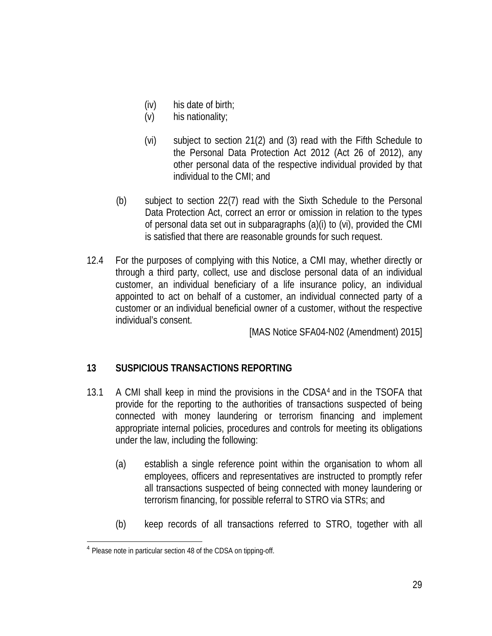- (iv) his date of birth;
- (v) his nationality;
- (vi) subject to section 21(2) and (3) read with the Fifth Schedule to the Personal Data Protection Act 2012 (Act 26 of 2012), any other personal data of the respective individual provided by that individual to the CMI; and
- (b) subject to section 22(7) read with the Sixth Schedule to the Personal Data Protection Act, correct an error or omission in relation to the types of personal data set out in subparagraphs (a)(i) to (vi), provided the CMI is satisfied that there are reasonable grounds for such request.
- 12.4 For the purposes of complying with this Notice, a CMI may, whether directly or through a third party, collect, use and disclose personal data of an individual customer, an individual beneficiary of a life insurance policy, an individual appointed to act on behalf of a customer, an individual connected party of a customer or an individual beneficial owner of a customer, without the respective individual's consent.

[MAS Notice SFA04-N02 (Amendment) 2015]

# **13 SUSPICIOUS TRANSACTIONS REPORTING**

- 13.1 A CMI shall keep in mind the provisions in the CDSA[4](#page-28-0) and in the TSOFA that provide for the reporting to the authorities of transactions suspected of being connected with money laundering or terrorism financing and implement appropriate internal policies, procedures and controls for meeting its obligations under the law, including the following:
	- (a) establish a single reference point within the organisation to whom all employees, officers and representatives are instructed to promptly refer all transactions suspected of being connected with money laundering or terrorism financing, for possible referral to STRO via STRs; and
	- (b) keep records of all transactions referred to STRO, together with all

<span id="page-28-0"></span><sup>&</sup>lt;sup>4</sup> Please note in particular section 48 of the CDSA on tipping-off.  $\overline{\phantom{a}}$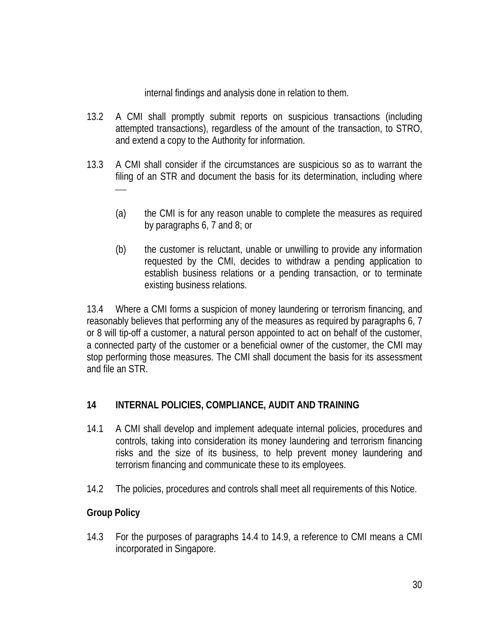internal findings and analysis done in relation to them.

- 13.2 A CMI shall promptly submit reports on suspicious transactions (including attempted transactions), regardless of the amount of the transaction, to STRO, and extend a copy to the Authority for information.
- 13.3 A CMI shall consider if the circumstances are suspicious so as to warrant the filing of an STR and document the basis for its determination, including where
	- (a) the CMI is for any reason unable to complete the measures as required by paragraphs 6, 7 and 8; or
	- (b) the customer is reluctant, unable or unwilling to provide any information requested by the CMI, decides to withdraw a pending application to establish business relations or a pending transaction, or to terminate existing business relations.

13.4 Where a CMI forms a suspicion of money laundering or terrorism financing, and reasonably believes that performing any of the measures as required by paragraphs 6, 7 or 8 will tip-off a customer, a natural person appointed to act on behalf of the customer, a connected party of the customer or a beneficial owner of the customer, the CMI may stop performing those measures. The CMI shall document the basis for its assessment and file an STR.

# **14 INTERNAL POLICIES, COMPLIANCE, AUDIT AND TRAINING**

- 14.1 A CMI shall develop and implement adequate internal policies, procedures and controls, taking into consideration its money laundering and terrorism financing risks and the size of its business, to help prevent money laundering and terrorism financing and communicate these to its employees.
- 14.2 The policies, procedures and controls shall meet all requirements of this Notice.

# **Group Policy**

14.3 For the purposes of paragraphs 14.4 to 14.9, a reference to CMI means a CMI incorporated in Singapore.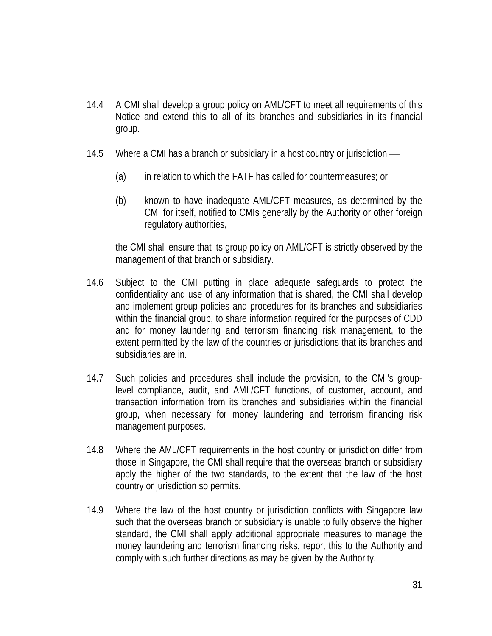- 14.4 A CMI shall develop a group policy on AML/CFT to meet all requirements of this Notice and extend this to all of its branches and subsidiaries in its financial group.
- 14.5 Where a CMI has a branch or subsidiary in a host country or jurisdiction
	- (a) in relation to which the FATF has called for countermeasures; or
	- (b) known to have inadequate AML/CFT measures, as determined by the CMI for itself, notified to CMIs generally by the Authority or other foreign regulatory authorities,

the CMI shall ensure that its group policy on AML/CFT is strictly observed by the management of that branch or subsidiary.

- 14.6 Subject to the CMI putting in place adequate safeguards to protect the confidentiality and use of any information that is shared, the CMI shall develop and implement group policies and procedures for its branches and subsidiaries within the financial group, to share information required for the purposes of CDD and for money laundering and terrorism financing risk management, to the extent permitted by the law of the countries or jurisdictions that its branches and subsidiaries are in.
- 14.7 Such policies and procedures shall include the provision, to the CMI's grouplevel compliance, audit, and AML/CFT functions, of customer, account, and transaction information from its branches and subsidiaries within the financial group, when necessary for money laundering and terrorism financing risk management purposes.
- 14.8 Where the AML/CFT requirements in the host country or jurisdiction differ from those in Singapore, the CMI shall require that the overseas branch or subsidiary apply the higher of the two standards, to the extent that the law of the host country or jurisdiction so permits.
- 14.9 Where the law of the host country or jurisdiction conflicts with Singapore law such that the overseas branch or subsidiary is unable to fully observe the higher standard, the CMI shall apply additional appropriate measures to manage the money laundering and terrorism financing risks, report this to the Authority and comply with such further directions as may be given by the Authority.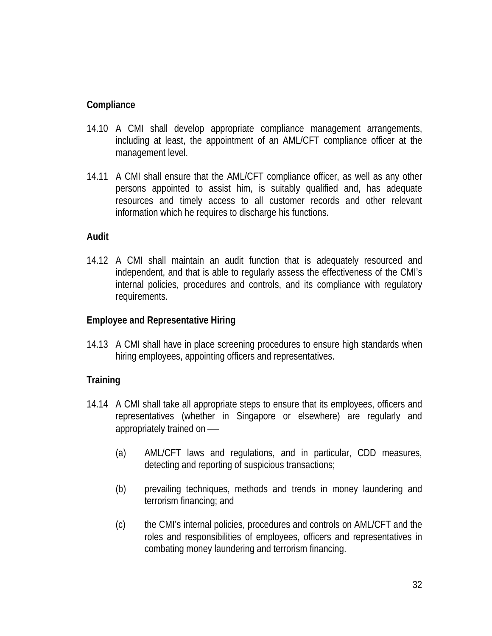## **Compliance**

- 14.10 A CMI shall develop appropriate compliance management arrangements, including at least, the appointment of an AML/CFT compliance officer at the management level.
- 14.11 A CMI shall ensure that the AML/CFT compliance officer, as well as any other persons appointed to assist him, is suitably qualified and, has adequate resources and timely access to all customer records and other relevant information which he requires to discharge his functions.

## **Audit**

14.12 A CMI shall maintain an audit function that is adequately resourced and independent, and that is able to regularly assess the effectiveness of the CMI's internal policies, procedures and controls, and its compliance with regulatory requirements.

## **Employee and Representative Hiring**

14.13 A CMI shall have in place screening procedures to ensure high standards when hiring employees, appointing officers and representatives.

# **Training**

- 14.14 A CMI shall take all appropriate steps to ensure that its employees, officers and representatives (whether in Singapore or elsewhere) are regularly and appropriately trained on
	- (a) AML/CFT laws and regulations, and in particular, CDD measures, detecting and reporting of suspicious transactions;
	- (b) prevailing techniques, methods and trends in money laundering and terrorism financing; and
	- (c) the CMI's internal policies, procedures and controls on AML/CFT and the roles and responsibilities of employees, officers and representatives in combating money laundering and terrorism financing.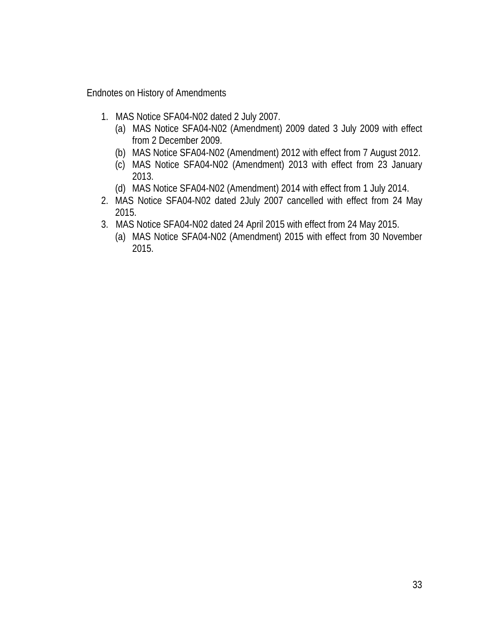Endnotes on History of Amendments

- 1. MAS Notice SFA04-N02 dated 2 July 2007.
	- (a) MAS Notice SFA04-N02 (Amendment) 2009 dated 3 July 2009 with effect from 2 December 2009.
	- (b) MAS Notice SFA04-N02 (Amendment) 2012 with effect from 7 August 2012.
	- (c) MAS Notice SFA04-N02 (Amendment) 2013 with effect from 23 January 2013.
	- (d) MAS Notice SFA04-N02 (Amendment) 2014 with effect from 1 July 2014.
- 2. MAS Notice SFA04-N02 dated 2July 2007 cancelled with effect from 24 May 2015.
- 3. MAS Notice SFA04-N02 dated 24 April 2015 with effect from 24 May 2015.
	- (a) MAS Notice SFA04-N02 (Amendment) 2015 with effect from 30 November 2015.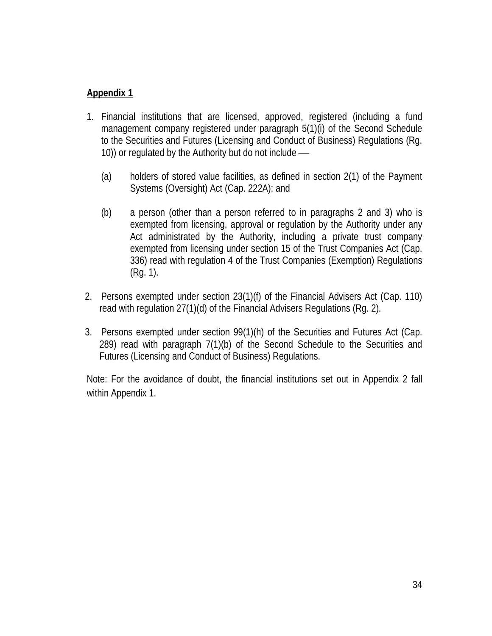# **Appendix 1**

- 1. Financial institutions that are licensed, approved, registered (including a fund management company registered under paragraph 5(1)(i) of the Second Schedule to the Securities and Futures (Licensing and Conduct of Business) Regulations (Rg. 10)) or regulated by the Authority but do not include
	- (a) holders of stored value facilities, as defined in section 2(1) of the Payment Systems (Oversight) Act (Cap. 222A); and
	- (b) a person (other than a person referred to in paragraphs 2 and 3) who is exempted from licensing, approval or regulation by the Authority under any Act administrated by the Authority, including a private trust company exempted from licensing under section 15 of the Trust Companies Act (Cap. 336) read with regulation 4 of the Trust Companies (Exemption) Regulations (Rg. 1).
- 2. Persons exempted under section 23(1)(f) of the Financial Advisers Act (Cap. 110) read with regulation 27(1)(d) of the Financial Advisers Regulations (Rg. 2).
- 3. Persons exempted under section 99(1)(h) of the Securities and Futures Act (Cap. 289) read with paragraph 7(1)(b) of the Second Schedule to the Securities and Futures (Licensing and Conduct of Business) Regulations.

Note: For the avoidance of doubt, the financial institutions set out in Appendix 2 fall within Appendix 1.